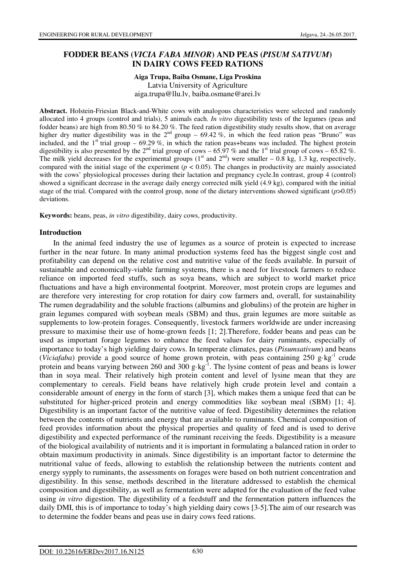# **FODDER BEANS (***VICIA FABA MINOR***) AND PEAS (***PISUM SATIVUM***) IN DAIRY COWS FEED RATIONS**

# **Aiga Trupa, Baiba Osmane, Liga Proskina**

Latvia University of Agriculture aiga.trupa@llu.lv, baiba.osmane@arei.lv

**Abstract.** Holstein-Friesian Black-and-White cows with analogous characteristics were selected and randomly allocated into 4 groups (control and trials), 5 animals each. *In vitro* digestibility tests of the legumes (peas and fodder beans) are high from 80.50 % to 84.20 %. The feed ration digestibility study results show, that on average higher dry matter digestibility was in the  $2^{nd}$  group – 69.42 %, in which the feed ration peas "Bruno" was included, and the  $1<sup>st</sup>$  trial group – 69.29 %, in which the ration peas+beans was included. The highest protein digestibility is also presented by the 2<sup>nd</sup> trial group of cows – 65.97 % and the 1<sup>st</sup> trial group of cows – 65.82 %. The milk yield decreases for the experimental groups  $(1<sup>st</sup>$  and  $2<sup>nd</sup>)$  were smaller – 0.8 kg, 1.3 kg, respectively, compared with the initial stage of the experiment  $(p < 0.05)$ . The changes in productivity are mainly associated with the cows' physiological processes during their lactation and pregnancy cycle.In contrast, group 4 (control) showed a significant decrease in the average daily energy corrected milk yield (4.9 kg), compared with the initial stage of the trial. Compared with the control group, none of the dietary interventions showed significant (*p*>0.05) deviations.

**Keywords:** beans, peas, *in vitro* digestibility, dairy cows, productivity.

## **Introduction**

In the animal feed industry the use of legumes as a source of protein is expected to increase further in the near future. In many animal production systems feed has the biggest single cost and profitability can depend on the relative cost and nutritive value of the feeds available. In pursuit of sustainable and economically-viable farming systems, there is a need for livestock farmers to reduce reliance on imported feed stuffs, such as soya beans, which are subject to world market price fluctuations and have a high environmental footprint. Moreover, most protein crops are legumes and are therefore very interesting for crop rotation for dairy cow farmers and, overall, for sustainability The rumen degradability and the soluble fractions (albumins and globulins) of the protein are higher in grain legumes compared with soybean meals (SBM) and thus, grain legumes are more suitable as supplements to low-protein forages. Consequently, livestock farmers worldwide are under increasing pressure to maximise their use of home-grown feeds [1; 2].Therefore, fodder beans and peas can be used as important forage legumes to enhance the feed values for dairy ruminants, especially of importance to today's high yielding dairy cows. In temperate climates, peas (*Pisumsativum*) and beans *(Viciafaba)* provide a good source of home grown protein, with peas containing 250 g·kg<sup>-1</sup> crude protein and beans varying between 260 and 300 g·kg<sup>-1</sup>. The lysine content of peas and beans is lower than in soya meal. Their relatively high protein content and level of lysine mean that they are complementary to cereals. Field beans have relatively high crude protein level and contain a considerable amount of energy in the form of starch [3], which makes them a unique feed that can be substituted for higher-priced protein and energy commodities like soybean meal (SBM) [1; 4]. Digestibility is an important factor of the nutritive value of feed. Digestibility determines the relation between the contents of nutrients and energy that are available to ruminants. Chemical composition of feed provides information about the physical properties and quality of feed and is used to derive digestibility and expected performance of the ruminant receiving the feeds. Digestibility is a measure of the biological availability of nutrients and it is important in formulating a balanced ration in order to obtain maximum productivity in animals. Since digestibility is an important factor to determine the nutritional value of feeds, allowing to establish the relationship between the nutrients content and energy sypply to ruminants, the assessments on forages were based on both nutrient concentration and digestibility. In this sense, methods described in the literature addressed to establish the chemical composition and digestibility, as well as fermentation were adapted for the evaluation of the feed value using *in vitro* digestion. The digestibility of a feedstuff and the fermentation pattern influences the daily DMI, this is of importance to today's high yielding dairy cows [3-5].The aim of our research was to determine the fodder beans and peas use in dairy cows feed rations.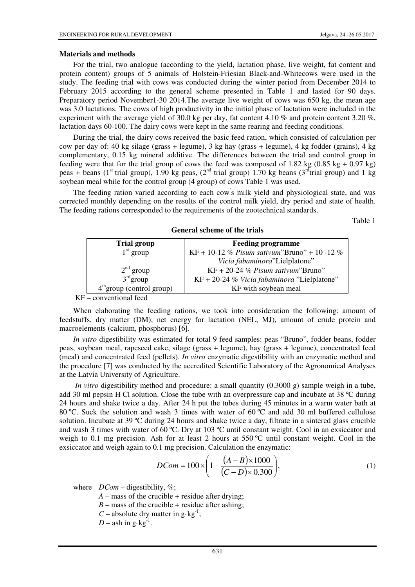## **Materials and methods**

For the trial, two analogue (according to the yield, lactation phase, live weight, fat content and protein content) groups of 5 animals of Holstein-Friesian Black-and-Whitecows were used in the study. The feeding trial with cows was conducted during the winter period from December 2014 to February 2015 according to the general scheme presented in Table 1 and lasted for 90 days. Preparatory period November1-30 2014.The average live weight of cows was 650 kg, the mean age was 3.0 lactations. The cows of high productivity in the initial phase of lactation were included in the experiment with the average yield of 30.0 kg per day, fat content 4.10 % and protein content 3.20 %, lactation days 60-100. The dairy cows were kept in the same rearing and feeding conditions.

During the trial, the dairy cows received the basic feed ration, which consisted of calculation per cow per day of: 40 kg silage (grass + legume), 3 kg hay (grass + legume), 4 kg fodder (grains), 4 kg complementary, 0.15 kg mineral additive. The differences between the trial and control group in feeding were that for the trial group of cows the feed was composed of 1.82 kg  $(0.85 \text{ kg} + 0.97 \text{ kg})$ peas + beans (1<sup>st</sup> trial group), 1.90 kg peas, (2<sup>nd</sup> trial group) 1.70 kg beans (3<sup>rd</sup>trial group) and 1 kg soybean meal while for the control group (4 group) of cows Table 1 was used.

The feeding ration varied according to each cow' s milk yield and physiological state, and was corrected monthly depending on the results of the control milk yield, dry period and state of health. The feeding rations corresponded to the requirements of the zootechnical standards.

Table 1

| <b>Trial group</b>         | <b>Feeding programme</b>                      |  |  |
|----------------------------|-----------------------------------------------|--|--|
| $1st$ group                | KF + 10-12 % Pisum sativum"Bruno" + 10 -12 %  |  |  |
|                            | Vicia fabaminora"Lielplatone"                 |  |  |
| The group                  | $KF + 20-24\%$ Pisum sativum"Bruno"           |  |  |
| $3rd$ group                | $KF + 20-24$ % Vicia fabaminora "Lielplatone" |  |  |
| $4m$ group (control group) | KF with soybean meal                          |  |  |

#### **General scheme of the trials**

KF – conventional feed

When elaborating the feeding rations, we took into consideration the following: amount of feedstuffs, dry matter (DM), net energy for lactation (NEL, MJ), amount of crude protein and macroelements (calcium, phosphorus) [6].

*In vitro* digestibility was estimated for total 9 feed samples: peas "Bruno", fodder beans, fodder peas, soybean meal, rapeseed cake, silage (grass + legume), hay (grass + legume), concentrated feed (meal) and concentrated feed (pellets). *In vitro* enzymatic digestibility with an enzymatic method and the procedure [7] was conducted by the accredited Scientific Laboratory of the Agronomical Analyses at the Latvia University of Agriculture.

*In vitro* digestibility method and procedure: a small quantity (0.3000 g) sample weigh in a tube, add 30 ml pepsin H Cl solution. Close the tube with an overpressure cap and incubate at 38 ºC during 24 hours and shake twice a day. After 24 h put the tubes during 45 minutes in a warm water bath at 80 °C. Suck the solution and wash 3 times with water of 60 °C and add 30 ml buffered cellulose solution. Incubate at 39 ºC during 24 hours and shake twice a day, filtrate in a sintered glass crucible and wash 3 times with water of 60 ºC. Dry at 103 ºC until constant weight. Cool in an exsiccator and weigh to 0.1 mg precision. Ash for at least 2 hours at  $550^{\circ}$ C until constant weight. Cool in the exsiccator and weigh again to 0.1 mg precision. Calculation the enzymatic:

$$
DCom = 100 \times \left(1 - \frac{(A-B) \times 1000}{(C-D) \times 0.300}\right),\tag{1}
$$

where  $DCom$  – digestibility, %;

 $A$  – mass of the crucible + residue after drying;

 $B$  – mass of the crucible + residue after ashing;

*C* – absolute dry matter in  $g \cdot kg^{-1}$ ;

 $D$  – ash in  $g \cdot kg^{-1}$ .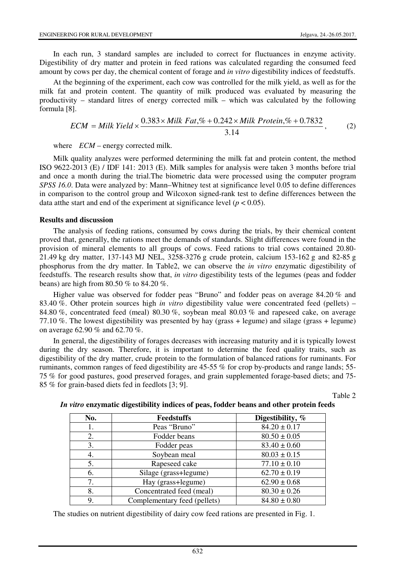In each run, 3 standard samples are included to correct for fluctuances in enzyme activity. Digestibility of dry matter and protein in feed rations was calculated regarding the consumed feed amount by cows per day, the chemical content of forage and *in vitro* digestibility indices of feedstuffs.

At the beginning of the experiment, each cow was controlled for the milk yield, as well as for the milk fat and protein content. The quantity of milk produced was evaluated by measuring the productivity – standard litres of energy corrected milk – which was calculated by the following formula [8].

$$
ECM = Milk Yield \times \frac{0.383 \times Milk Fat, \% + 0.242 \times Milk Protein, \% + 0.7832}{3.14},
$$
 (2)

where *ECM* – energy corrected milk.

Milk quality analyzes were performed determining the milk fat and protein content, the method ISO 9622-2013 (E) / IDF 141: 2013 (E). Milk samples for analysis were taken 3 months before trial and once a month during the trial.The biometric data were processed using the computer program *SPSS 16.0*. Data were analyzed by: Mann–Whitney test at significance level 0.05 to define differences in comparison to the control group and Wilcoxon signed-rank test to define differences between the data at the start and end of the experiment at significance level ( $p < 0.05$ ).

#### **Results and discussion**

The analysis of feeding rations, consumed by cows during the trials, by their chemical content proved that, generally, the rations meet the demands of standards. Slight differences were found in the provision of mineral elements to all groups of cows. Feed rations to trial cows contained 20.80- 21.49 kg dry matter, 137-143 MJ NEL, 3258-3276 g crude protein, calcium 153-162 g and 82-85 g phosphorus from the dry matter. In Table2, we can observe the *in vitro* enzymatic digestibility of feedstuffs. The research results show that, *in vitro* digestibility tests of the legumes (peas and fodder beans) are high from 80.50 % to 84.20 %.

Higher value was observed for fodder peas "Bruno" and fodder peas on average 84.20 % and 83.40 %. Other protein sources high *in vitro* digestibility value were concentrated feed (pellets) – 84.80 %, concentrated feed (meal) 80.30 %, soybean meal 80.03 % and rapeseed cake, on average 77.10 %. The lowest digestibility was presented by hay (grass + legume) and silage (grass + legume) on average 62.90 % and 62.70 %.

In general, the digestibility of forages decreases with increasing maturity and it is typically lowest during the dry season. Therefore, it is important to determine the feed quality traits, such as digestibility of the dry matter, crude protein to the formulation of balanced rations for ruminants. For ruminants, common ranges of feed digestibility are 45-55 % for crop by-products and range lands; 55- 75 % for good pastures, good preserved forages, and grain supplemented forage-based diets; and 75- 85 % for grain-based diets fed in feedlots [3; 9].

Table 2

| No. | <b>Feedstuffs</b>            | Digestibility, % |  |
|-----|------------------------------|------------------|--|
| 1.  | Peas "Bruno"                 | $84.20 \pm 0.17$ |  |
| 2.  | Fodder beans                 | $80.50 \pm 0.05$ |  |
| 3.  | Fodder peas                  | $83.40 \pm 0.60$ |  |
| 4.  | Soybean meal                 | $80.03 \pm 0.15$ |  |
| 5.  | Rapeseed cake                | $77.10 \pm 0.10$ |  |
| 6.  | Silage (grass+legume)        | $62.70 \pm 0.19$ |  |
| 7.  | Hay (grass+legume)           | $62.90 \pm 0.68$ |  |
| 8.  | Concentrated feed (meal)     | $80.30 \pm 0.26$ |  |
| 9.  | Complementary feed (pellets) | $84.80 \pm 0.80$ |  |

## *In vitro* **enzymatic digestibility indices of peas, fodder beans and other protein feeds**

The studies on nutrient digestibility of dairy cow feed rations are presented in Fig. 1.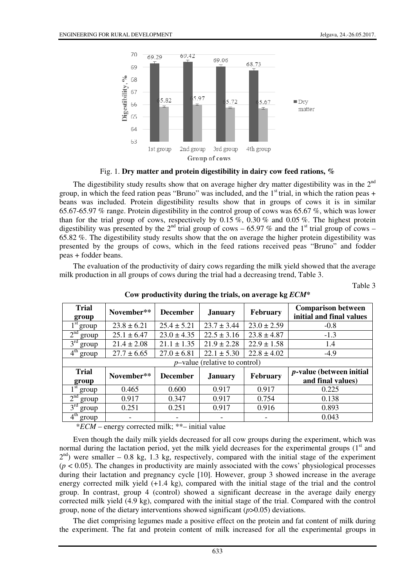

Fig. 1. **Dry matter and protein digestibility in dairy cow feed rations, %** 

The digestibility study results show that on average higher dry matter digestibility was in the  $2<sup>nd</sup>$ group, in which the feed ration peas "Bruno" was included, and the  $1<sup>st</sup>$  trial, in which the ration peas + beans was included. Protein digestibility results show that in groups of cows it is in similar 65.67-65.97 % range. Protein digestibility in the control group of cows was 65.67 %, which was lower than for the trial group of cows, respectively by  $0.15\%$ ,  $0.30\%$  and  $0.05\%$ . The highest protein digestibility was presented by the 2<sup>nd</sup> trial group of cows – 65.97 % and the 1<sup>st</sup> trial group of cows – 65.82 %. The digestibility study results show that the on average the higher protein digestibility was presented by the groups of cows, which in the feed rations received peas "Bruno" and fodder peas + fodder beans.

The evaluation of the productivity of dairy cows regarding the milk yield showed that the average milk production in all groups of cows during the trial had a decreasing trend, Table 3.

Table 3

| <b>Trial</b><br>group                 | November**      | <b>December</b> | <b>January</b>  | <b>February</b> | <b>Comparison between</b><br>initial and final values |  |  |
|---------------------------------------|-----------------|-----------------|-----------------|-----------------|-------------------------------------------------------|--|--|
| $1st$ group                           | $23.8 \pm 6.21$ | $25.4 \pm 5.21$ | $23.7 \pm 3.44$ | $23.0 \pm 2.59$ | $-0.8$                                                |  |  |
| 2 <sup>nd</sup><br>group              | $25.1 \pm 6.47$ | $23.0 \pm 4.35$ | $22.5 \pm 3.16$ | $23.8 \pm 4.87$ | $-1.3$                                                |  |  |
| 3 <sup>rd</sup><br>group              | $21.4 \pm 2.08$ | $21.1 \pm 1.35$ | $21.9 \pm 2.28$ | $22.9 \pm 1.58$ | 1.4                                                   |  |  |
| 4 <sup>th</sup><br>' group            | $27.7 \pm 6.65$ | $27.0 \pm 6.81$ | $22.1 \pm 5.30$ | $22.8 \pm 4.02$ | $-4.9$                                                |  |  |
| <i>p</i> -value (relative to control) |                 |                 |                 |                 |                                                       |  |  |
| <b>Trial</b><br>group                 | November**      | <b>December</b> | <b>January</b>  | February        | <i>p</i> -value (between initial<br>and final values) |  |  |
| $1st$ group                           | 0.465           | 0.600           | 0.917           | 0.917           | 0.225                                                 |  |  |
| 2 <sup>nd</sup><br>group              | 0.917           | 0.347           | 0.917           | 0.754           | 0.138                                                 |  |  |
| 3 <sup>rd</sup><br>group              | 0.251           | 0.251           | 0.917           | 0.916           | 0.893                                                 |  |  |
| $4^{\text{th}}$<br>group              |                 |                 |                 |                 | 0.043                                                 |  |  |

**Cow productivity during the trials, on average kg** *ECM***\*** 

\**ECM* – energy corrected milk; \*\*– initial value

Even though the daily milk yields decreased for all cow groups during the experiment, which was normal during the lactation period, yet the milk yield decreases for the experimental groups  $(1<sup>st</sup>$  and  $2<sup>nd</sup>$ ) were smaller – 0.8 kg, 1.3 kg, respectively, compared with the initial stage of the experiment  $(p < 0.05)$ . The changes in productivity are mainly associated with the cows' physiological processes during their lactation and pregnancy cycle [10]. However, group 3 showed increase in the average energy corrected milk yield (+1.4 kg), compared with the initial stage of the trial and the control group. In contrast, group 4 (control) showed a significant decrease in the average daily energy corrected milk yield (4.9 kg), compared with the initial stage of the trial. Compared with the control group, none of the dietary interventions showed significant (*p*>0.05) deviations.

The diet comprising legumes made a positive effect on the protein and fat content of milk during the experiment. The fat and protein content of milk increased for all the experimental groups in